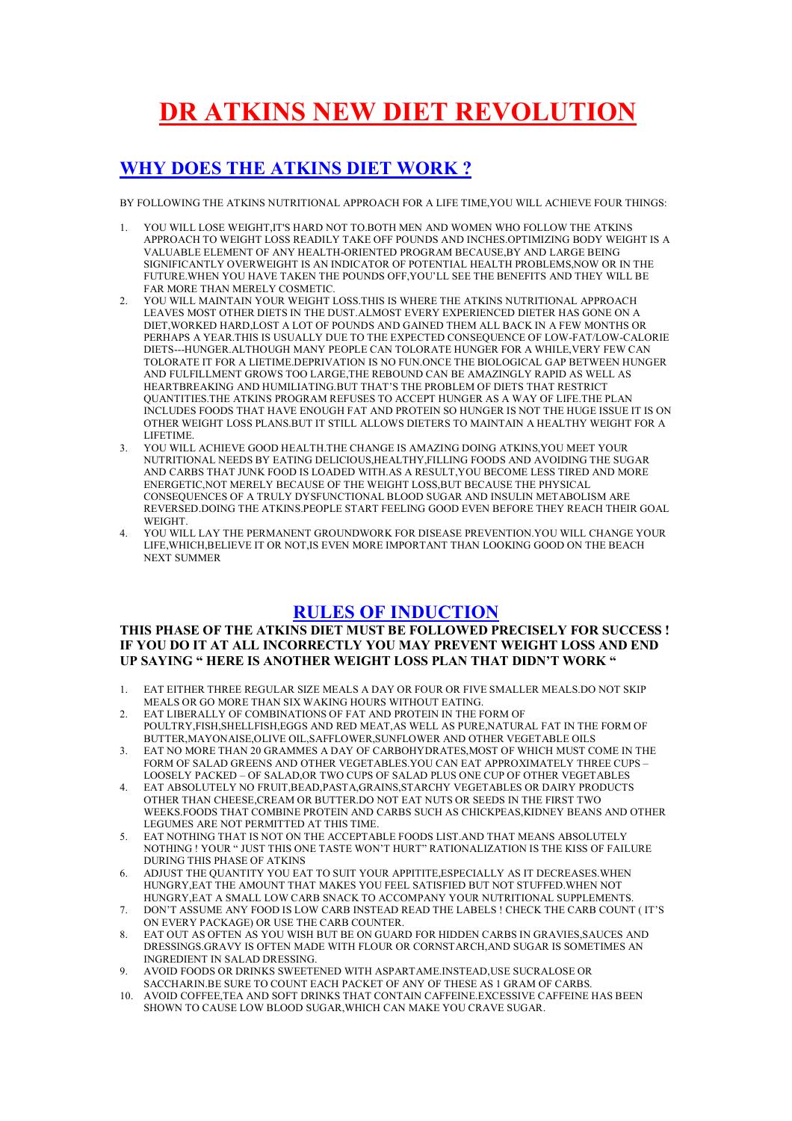# **DR ATKINS NEW DIET REVOLUTION**

# **WHY DOES THE ATKINS DIET WORK ?**

BY FOLLOWING THE ATKINS NUTRITIONAL APPROACH FOR A LIFE TIME,YOU WILL ACHIEVE FOUR THINGS:

- 1. YOU WILL LOSE WEIGHT,IT'S HARD NOT TO.BOTH MEN AND WOMEN WHO FOLLOW THE ATKINS APPROACH TO WEIGHT LOSS READILY TAKE OFF POUNDS AND INCHES.OPTIMIZING BODY WEIGHT IS A VALUABLE ELEMENT OF ANY HEALTH-ORIENTED PROGRAM BECAUSE,BY AND LARGE BEING SIGNIFICANTLY OVERWEIGHT IS AN INDICATOR OF POTENTIAL HEALTH PROBLEMS,NOW OR IN THE FUTURE. WHEN YOU HAVE TAKEN THE POUNDS OFF, YOU'LL SEE THE BENEFITS AND THEY WILL BE FAR MORE THAN MERELY COSMETIC.
- 2. YOU WILL MAINTAIN YOUR WEIGHT LOSS.THIS IS WHERE THE ATKINS NUTRITIONAL APPROACH LEAVES MOST OTHER DIETS IN THE DUST.ALMOST EVERY EXPERIENCED DIETER HAS GONE ON A DIET,WORKED HARD,LOST A LOT OF POUNDS AND GAINED THEM ALL BACK IN A FEW MONTHS OR PERHAPS A YEAR.THIS IS USUALLY DUE TO THE EXPECTED CONSEQUENCE OF LOW-FAT/LOW-CALORIE DIETS---HUNGER.ALTHOUGH MANY PEOPLE CAN TOLORATE HUNGER FOR A WHILE,VERY FEW CAN TOLORATE IT FOR A LIETIME.DEPRIVATION IS NO FUN.ONCE THE BIOLOGICAL GAP BETWEEN HUNGER AND FULFILLMENT GROWS TOO LARGE,THE REBOUND CAN BE AMAZINGLY RAPID AS WELL AS HEARTBREAKING AND HUMILIATING.BUT THAT'S THE PROBLEM OF DIETS THAT RESTRICT QUANTITIES.THE ATKINS PROGRAM REFUSES TO ACCEPT HUNGER AS A WAY OF LIFE.THE PLAN INCLUDES FOODS THAT HAVE ENOUGH FAT AND PROTEIN SO HUNGER IS NOT THE HUGE ISSUE IT IS ON OTHER WEIGHT LOSS PLANS.BUT IT STILL ALLOWS DIETERS TO MAINTAIN A HEALTHY WEIGHT FOR A LIFETIME.
- 3. YOU WILL ACHIEVE GOOD HEALTH.THE CHANGE IS AMAZING DOING ATKINS,YOU MEET YOUR NUTRITIONAL NEEDS BY EATING DELICIOUS,HEALTHY,FILLING FOODS AND AVOIDING THE SUGAR AND CARBS THAT JUNK FOOD IS LOADED WITH.AS A RESULT,YOU BECOME LESS TIRED AND MORE ENERGETIC,NOT MERELY BECAUSE OF THE WEIGHT LOSS,BUT BECAUSE THE PHYSICAL CONSEQUENCES OF A TRULY DYSFUNCTIONAL BLOOD SUGAR AND INSULIN METABOLISM ARE REVERSED.DOING THE ATKINS.PEOPLE START FEELING GOOD EVEN BEFORE THEY REACH THEIR GOAL **WEIGHT**
- 4. YOU WILL LAY THE PERMANENT GROUNDWORK FOR DISEASE PREVENTION.YOU WILL CHANGE YOUR LIFE,WHICH,BELIEVE IT OR NOT,IS EVEN MORE IMPORTANT THAN LOOKING GOOD ON THE BEACH NEXT SUMMER

# **RULES OF INDUCTION**

### **THIS PHASE OF THE ATKINS DIET MUST BE FOLLOWED PRECISELY FOR SUCCESS ! IF YOU DO IT AT ALL INCORRECTLY YOU MAY PREVENT WEIGHT LOSS AND END UP SAYING " HERE IS ANOTHER WEIGHT LOSS PLAN THAT DIDN'T WORK "**

- 1. EAT EITHER THREE REGULAR SIZE MEALS A DAY OR FOUR OR FIVE SMALLER MEALS.DO NOT SKIP MEALS OR GO MORE THAN SIX WAKING HOURS WITHOUT EATING.
- 2. EAT LIBERALLY OF COMBINATIONS OF FAT AND PROTEIN IN THE FORM OF POULTRY,FISH,SHELLFISH,EGGS AND RED MEAT,AS WELL AS PURE,NATURAL FAT IN THE FORM OF BUTTER,MAYONAISE,OLIVE OIL,SAFFLOWER,SUNFLOWER AND OTHER VEGETABLE OILS
- 3. EAT NO MORE THAN 20 GRAMMES A DAY OF CARBOHYDRATES,MOST OF WHICH MUST COME IN THE FORM OF SALAD GREENS AND OTHER VEGETABLES.YOU CAN EAT APPROXIMATELY THREE CUPS -LOOSELY PACKED – OF SALAD,OR TWO CUPS OF SALAD PLUS ONE CUP OF OTHER VEGETABLES
- 4. EAT ABSOLUTELY NO FRUIT,BEAD,PASTA,GRAINS,STARCHY VEGETABLES OR DAIRY PRODUCTS OTHER THAN CHEESE,CREAM OR BUTTER.DO NOT EAT NUTS OR SEEDS IN THE FIRST TWO WEEKS.FOODS THAT COMBINE PROTEIN AND CARBS SUCH AS CHICKPEAS,KIDNEY BEANS AND OTHER LEGUMES ARE NOT PERMITTED AT THIS TIME.
- 5. EAT NOTHING THAT IS NOT ON THE ACCEPTABLE FOODS LIST.AND THAT MEANS ABSOLUTELY NOTHING ! YOUR " JUST THIS ONE TASTE WON'T HURT" RATIONALIZATION IS THE KISS OF FAILURE DURING THIS PHASE OF ATKINS
- 6. ADJUST THE QUANTITY YOU EAT TO SUIT YOUR APPITITE,ESPECIALLY AS IT DECREASES.WHEN HUNGRY,EAT THE AMOUNT THAT MAKES YOU FEEL SATISFIED BUT NOT STUFFED.WHEN NOT HUNGRY,EAT A SMALL LOW CARB SNACK TO ACCOMPANY YOUR NUTRITIONAL SUPPLEMENTS.
- 7. DON'T ASSUME ANY FOOD IS LOW CARB INSTEAD READ THE LABELS ! CHECK THE CARB COUNT (IT'S ON EVERY PACKAGE) OR USE THE CARB COUNTER.
- 8. EAT OUT AS OFTEN AS YOU WISH BUT BE ON GUARD FOR HIDDEN CARBS IN GRAVIES,SAUCES AND DRESSINGS.GRAVY IS OFTEN MADE WITH FLOUR OR CORNSTARCH,AND SUGAR IS SOMETIMES AN INGREDIENT IN SALAD DRESSING.
- 9. AVOID FOODS OR DRINKS SWEETENED WITH ASPARTAME.INSTEAD,USE SUCRALOSE OR SACCHARIN.BE SURE TO COUNT EACH PACKET OF ANY OF THESE AS 1 GRAM OF CARBS.
- 10. AVOID COFFEE,TEA AND SOFT DRINKS THAT CONTAIN CAFFEINE.EXCESSIVE CAFFEINE HAS BEEN SHOWN TO CAUSE LOW BLOOD SUGAR,WHICH CAN MAKE YOU CRAVE SUGAR.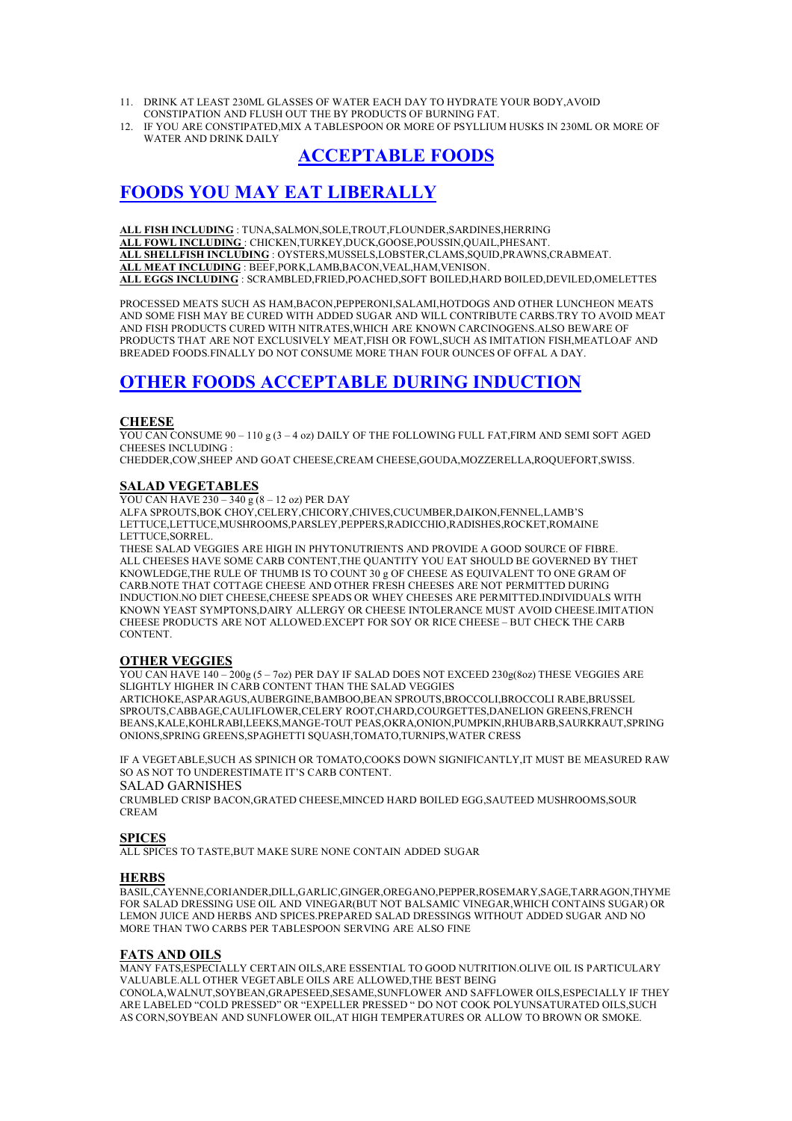- 11. DRINK AT LEAST 230ML GLASSES OF WATER EACH DAY TO HYDRATE YOUR BODY,AVOID CONSTIPATION AND FLUSH OUT THE BY PRODUCTS OF BURNING FAT.
- 12. IF YOU ARE CONSTIPATED,MIX A TABLESPOON OR MORE OF PSYLLIUM HUSKS IN 230ML OR MORE OF WATER AND DRINK DAILY

# **ACCEPTABLE FOODS**

# **FOODS YOU MAY EAT LIBERALLY**

**ALL FISH INCLUDING** : TUNA,SALMON,SOLE,TROUT,FLOUNDER,SARDINES,HERRING **ALL FOWL INCLUDING** : CHICKEN,TURKEY,DUCK,GOOSE,POUSSIN,QUAIL,PHESANT. **ALL SHELLFISH INCLUDING** : OYSTERS,MUSSELS,LOBSTER,CLAMS,SQUID,PRAWNS,CRABMEAT. **ALL MEAT INCLUDING** : BEEF,PORK,LAMB,BACON,VEAL,HAM,VENISON. **ALL EGGS INCLUDING** : SCRAMBLED,FRIED,POACHED,SOFT BOILED,HARD BOILED,DEVILED,OMELETTES

PROCESSED MEATS SUCH AS HAM,BACON,PEPPERONI,SALAMI,HOTDOGS AND OTHER LUNCHEON MEATS AND SOME FISH MAY BE CURED WITH ADDED SUGAR AND WILL CONTRIBUTE CARBS.TRY TO AVOID MEAT AND FISH PRODUCTS CURED WITH NITRATES,WHICH ARE KNOWN CARCINOGENS.ALSO BEWARE OF PRODUCTS THAT ARE NOT EXCLUSIVELY MEAT,FISH OR FOWL,SUCH AS IMITATION FISH,MEATLOAF AND BREADED FOODS.FINALLY DO NOT CONSUME MORE THAN FOUR OUNCES OF OFFAL A DAY.

# **OTHER FOODS ACCEPTABLE DURING INDUCTION**

### **CHEESE**

YOU CAN CONSUME  $90 - 110$  g  $(3 - 4$  oz) DAILY OF THE FOLLOWING FULL FAT,FIRM AND SEMI SOFT AGED CHEESES INCLUDING :

CHEDDER,COW,SHEEP AND GOAT CHEESE,CREAM CHEESE,GOUDA,MOZZERELLA,ROQUEFORT,SWISS.

# **SALAD VEGETABLES**

YOU CAN HAVE  $230 - 340 g (8 - 12 oz)$  PER DAY

ALFA SPROUTS,BOK CHOY,CELERY,CHICORY,CHIVES,CUCUMBER,DAIKON,FENNEL,LAMBíS LETTUCE,LETTUCE,MUSHROOMS,PARSLEY,PEPPERS,RADICCHIO,RADISHES,ROCKET,ROMAINE LETTUCE, SORREL

THESE SALAD VEGGIES ARE HIGH IN PHYTONUTRIENTS AND PROVIDE A GOOD SOURCE OF FIBRE. ALL CHEESES HAVE SOME CARB CONTENT,THE QUANTITY YOU EAT SHOULD BE GOVERNED BY THET KNOWLEDGE,THE RULE OF THUMB IS TO COUNT 30 g OF CHEESE AS EQUIVALENT TO ONE GRAM OF CARB.NOTE THAT COTTAGE CHEESE AND OTHER FRESH CHEESES ARE NOT PERMITTED DURING INDUCTION.NO DIET CHEESE,CHEESE SPEADS OR WHEY CHEESES ARE PERMITTED.INDIVIDUALS WITH KNOWN YEAST SYMPTONS,DAIRY ALLERGY OR CHEESE INTOLERANCE MUST AVOID CHEESE.IMITATION CHEESE PRODUCTS ARE NOT ALLOWED EXCEPT FOR SOY OR RICE CHEESE – BUT CHECK THE CARB CONTENT.

# **OTHER VEGGIES**

YOU CAN HAVE 140 - 200g (5 - 7oz) PER DAY IF SALAD DOES NOT EXCEED 230g(8oz) THESE VEGGIES ARE SLIGHTLY HIGHER IN CARB CONTENT THAN THE SALAD VEGGIES

ARTICHOKE,ASPARAGUS,AUBERGINE,BAMBOO,BEAN SPROUTS,BROCCOLI,BROCCOLI RABE,BRUSSEL SPROUTS,CABBAGE,CAULIFLOWER,CELERY ROOT,CHARD,COURGETTES,DANELION GREENS,FRENCH BEANS,KALE,KOHLRABI,LEEKS,MANGE-TOUT PEAS,OKRA,ONION,PUMPKIN,RHUBARB,SAURKRAUT,SPRING ONIONS,SPRING GREENS,SPAGHETTI SQUASH,TOMATO,TURNIPS,WATER CRESS

IF A VEGETABLE,SUCH AS SPINICH OR TOMATO,COOKS DOWN SIGNIFICANTLY,IT MUST BE MEASURED RAW SO AS NOT TO UNDERESTIMATE IT'S CARB CONTENT.

#### SALAD GARNISHES

CRUMBLED CRISP BACON,GRATED CHEESE,MINCED HARD BOILED EGG,SAUTEED MUSHROOMS,SOUR CREAM

### **SPICES**

ALL SPICES TO TASTE,BUT MAKE SURE NONE CONTAIN ADDED SUGAR

### **HERBS**

BASIL,CAYENNE,CORIANDER,DILL,GARLIC,GINGER,OREGANO,PEPPER,ROSEMARY,SAGE,TARRAGON,THYME FOR SALAD DRESSING USE OIL AND VINEGAR(BUT NOT BALSAMIC VINEGAR,WHICH CONTAINS SUGAR) OR LEMON JUICE AND HERBS AND SPICES.PREPARED SALAD DRESSINGS WITHOUT ADDED SUGAR AND NO MORE THAN TWO CARBS PER TABLESPOON SERVING ARE ALSO FINE

### **FATS AND OILS**

MANY FATS,ESPECIALLY CERTAIN OILS,ARE ESSENTIAL TO GOOD NUTRITION.OLIVE OIL IS PARTICULARY VALUABLE.ALL OTHER VEGETABLE OILS ARE ALLOWED,THE BEST BEING CONOLA,WALNUT,SOYBEAN,GRAPESEED,SESAME,SUNFLOWER AND SAFFLOWER OILS,ESPECIALLY IF THEY

ARE LABELED "COLD PRESSED" OR "EXPELLER PRESSED " DO NOT COOK POLYUNSATURATED OILS, SUCH AS CORN,SOYBEAN AND SUNFLOWER OIL,AT HIGH TEMPERATURES OR ALLOW TO BROWN OR SMOKE.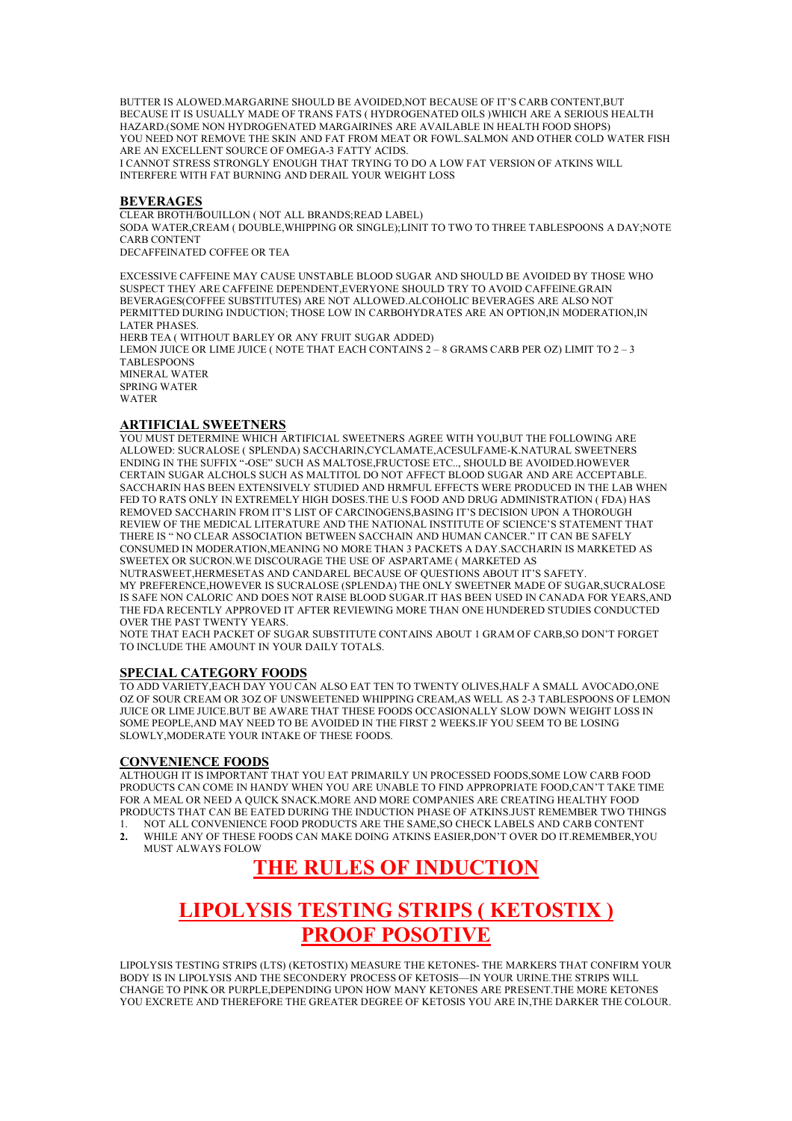BUTTER IS ALOWED.MARGARINE SHOULD BE AVOIDED.NOT BECAUSE OF IT'S CARB CONTENT.BUT BECAUSE IT IS USUALLY MADE OF TRANS FATS ( HYDROGENATED OILS )WHICH ARE A SERIOUS HEALTH HAZARD.(SOME NON HYDROGENATED MARGAIRINES ARE AVAILABLE IN HEALTH FOOD SHOPS) YOU NEED NOT REMOVE THE SKIN AND FAT FROM MEAT OR FOWL.SALMON AND OTHER COLD WATER FISH ARE AN EXCELLENT SOURCE OF OMEGA-3 FATTY ACIDS. I CANNOT STRESS STRONGLY ENOUGH THAT TRYING TO DO A LOW FAT VERSION OF ATKINS WILL

INTERFERE WITH FAT BURNING AND DERAIL YOUR WEIGHT LOSS

#### **BEVERAGES**

CLEAR BROTH/BOUILLON ( NOT ALL BRANDS;READ LABEL) SODA WATER,CREAM ( DOUBLE,WHIPPING OR SINGLE);LINIT TO TWO TO THREE TABLESPOONS A DAY;NOTE CARB CONTENT DECAFFEINATED COFFEE OR TEA

EXCESSIVE CAFFEINE MAY CAUSE UNSTABLE BLOOD SUGAR AND SHOULD BE AVOIDED BY THOSE WHO SUSPECT THEY ARE CAFFEINE DEPENDENT,EVERYONE SHOULD TRY TO AVOID CAFFEINE.GRAIN BEVERAGES(COFFEE SUBSTITUTES) ARE NOT ALLOWED.ALCOHOLIC BEVERAGES ARE ALSO NOT PERMITTED DURING INDUCTION; THOSE LOW IN CARBOHYDRATES ARE AN OPTION,IN MODERATION,IN LATER PHASES. HERB TEA ( WITHOUT BARLEY OR ANY FRUIT SUGAR ADDED) LEMON JUICE OR LIME JUICE ( NOTE THAT EACH CONTAINS  $2-8$  GRAMS CARB PER OZ) LIMIT TO  $2-3$ TABLESPOONS MINERAL WATER SPRING WATER

WATER

#### **ARTIFICIAL SWEETNERS**

YOU MUST DETERMINE WHICH ARTIFICIAL SWEETNERS AGREE WITH YOU,BUT THE FOLLOWING ARE ALLOWED: SUCRALOSE ( SPLENDA) SACCHARIN,CYCLAMATE,ACESULFAME-K.NATURAL SWEETNERS ENDING IN THE SUFFIX "-OSE" SUCH AS MALTOSE, FRUCTOSE ETC.., SHOULD BE AVOIDED.HOWEVER CERTAIN SUGAR ALCHOLS SUCH AS MALTITOL DO NOT AFFECT BLOOD SUGAR AND ARE ACCEPTABLE. SACCHARIN HAS BEEN EXTENSIVELY STUDIED AND HRMFUL EFFECTS WERE PRODUCED IN THE LAB WHEN FED TO RATS ONLY IN EXTREMELY HIGH DOSES.THE U.S FOOD AND DRUG ADMINISTRATION ( FDA) HAS REMOVED SACCHARIN FROM IT'S LIST OF CARCINOGENS, BASING IT'S DECISION UPON A THOROUGH REVIEW OF THE MEDICAL LITERATURE AND THE NATIONAL INSTITUTE OF SCIENCEíS STATEMENT THAT THERE IS " NO CLEAR ASSOCIATION BETWEEN SACCHAIN AND HUMAN CANCER." IT CAN BE SAFELY CONSUMED IN MODERATION,MEANING NO MORE THAN 3 PACKETS A DAY.SACCHARIN IS MARKETED AS SWEETEX OR SUCRON.WE DISCOURAGE THE USE OF ASPARTAME ( MARKETED AS

NUTRASWEET, HERMESETAS AND CANDAREL BECAUSE OF OUESTIONS ABOUT IT'S SAFETY. MY PREFERENCE,HOWEVER IS SUCRALOSE (SPLENDA) THE ONLY SWEETNER MADE OF SUGAR,SUCRALOSE IS SAFE NON CALORIC AND DOES NOT RAISE BLOOD SUGAR.IT HAS BEEN USED IN CANADA FOR YEARS,AND THE FDA RECENTLY APPROVED IT AFTER REVIEWING MORE THAN ONE HUNDERED STUDIES CONDUCTED OVER THE PAST TWENTY YEARS.

NOTE THAT EACH PACKET OF SUGAR SUBSTITUTE CONTAINS ABOUT 1 GRAM OF CARB, SO DON'T FORGET TO INCLUDE THE AMOUNT IN YOUR DAILY TOTALS.

### **SPECIAL CATEGORY FOODS**

TO ADD VARIETY,EACH DAY YOU CAN ALSO EAT TEN TO TWENTY OLIVES,HALF A SMALL AVOCADO,ONE OZ OF SOUR CREAM OR 3OZ OF UNSWEETENED WHIPPING CREAM,AS WELL AS 2-3 TABLESPOONS OF LEMON JUICE OR LIME JUICE.BUT BE AWARE THAT THESE FOODS OCCASIONALLY SLOW DOWN WEIGHT LOSS IN SOME PEOPLE,AND MAY NEED TO BE AVOIDED IN THE FIRST 2 WEEKS.IF YOU SEEM TO BE LOSING SLOWLY,MODERATE YOUR INTAKE OF THESE FOODS.

#### **CONVENIENCE FOODS**

ALTHOUGH IT IS IMPORTANT THAT YOU EAT PRIMARILY UN PROCESSED FOODS,SOME LOW CARB FOOD PRODUCTS CAN COME IN HANDY WHEN YOU ARE UNABLE TO FIND APPROPRIATE FOOD, CAN'T TAKE TIME FOR A MEAL OR NEED A QUICK SNACK.MORE AND MORE COMPANIES ARE CREATING HEALTHY FOOD PRODUCTS THAT CAN BE EATED DURING THE INDUCTION PHASE OF ATKINS.JUST REMEMBER TWO THINGS IN NOT ALL CONVENIENCE FOOD PRODUCTS ARE THE SAME.SO CHECK LABELS AND CARB CONTENT 1. NOT ALL CONVENIENCE FOOD PRODUCTS ARE THE SAME,SO CHECK LABELS AND CARB CONTENT

2. WHILE ANY OF THESE FOODS CAN MAKE DOING ATKINS EASIER, DON'T OVER DO IT.REMEMBER, YOU MUST ALWAYS FOLOW

# **THE RULES OF INDUCTION**

# **LIPOLYSIS TESTING STRIPS ( KETOSTIX ) PROOF POSOTIVE**

LIPOLYSIS TESTING STRIPS (LTS) (KETOSTIX) MEASURE THE KETONES- THE MARKERS THAT CONFIRM YOUR BODY IS IN LIPOLYSIS AND THE SECONDERY PROCESS OF KETOSIS—IN YOUR URINE.THE STRIPS WILL CHANGE TO PINK OR PURPLE,DEPENDING UPON HOW MANY KETONES ARE PRESENT.THE MORE KETONES YOU EXCRETE AND THEREFORE THE GREATER DEGREE OF KETOSIS YOU ARE IN,THE DARKER THE COLOUR.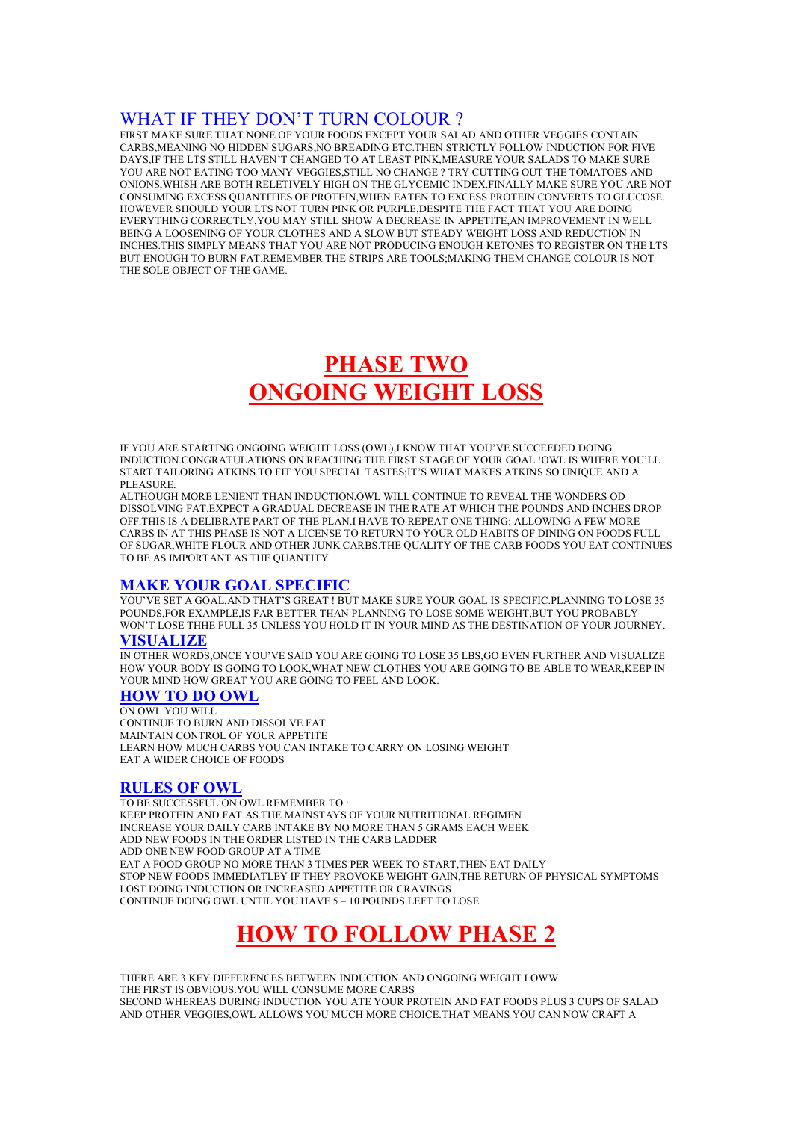# WHAT IF THEY DON'T TURN COLOUR?

FIRST MAKE SURE THAT NONE OF YOUR FOODS EXCEPT YOUR SALAD AND OTHER VEGGIES CONTAIN CARBS,MEANING NO HIDDEN SUGARS,NO BREADING ETC.THEN STRICTLY FOLLOW INDUCTION FOR FIVE DAYS, IF THE LTS STILL HAVEN'T CHANGED TO AT LEAST PINK, MEASURE YOUR SALADS TO MAKE SURE YOU ARE NOT EATING TOO MANY VEGGIES,STILL NO CHANGE ? TRY CUTTING OUT THE TOMATOES AND ONIONS,WHISH ARE BOTH RELETIVELY HIGH ON THE GLYCEMIC INDEX.FINALLY MAKE SURE YOU ARE NOT CONSUMING EXCESS QUANTITIES OF PROTEIN,WHEN EATEN TO EXCESS PROTEIN CONVERTS TO GLUCOSE. HOWEVER SHOULD YOUR LTS NOT TURN PINK OR PURPLE,DESPITE THE FACT THAT YOU ARE DOING EVERYTHING CORRECTLY,YOU MAY STILL SHOW A DECREASE IN APPETITE,AN IMPROVEMENT IN WELL BEING A LOOSENING OF YOUR CLOTHES AND A SLOW BUT STEADY WEIGHT LOSS AND REDUCTION IN INCHES.THIS SIMPLY MEANS THAT YOU ARE NOT PRODUCING ENOUGH KETONES TO REGISTER ON THE LTS BUT ENOUGH TO BURN FAT.REMEMBER THE STRIPS ARE TOOLS;MAKING THEM CHANGE COLOUR IS NOT THE SOLE OBJECT OF THE GAME.

# **PHASE TWO ONGOING WEIGHT LOSS**

IF YOU ARE STARTING ONGOING WEIGHT LOSS (OWL).I KNOW THAT YOU'VE SUCCEEDED DOING INDUCTION.CONGRATULATIONS ON REACHING THE FIRST STAGE OF YOUR GOAL !OWL IS WHERE YOU'LL START TAILORING ATKINS TO FIT YOU SPECIAL TASTES;IT'S WHAT MAKES ATKINS SO UNIQUE AND A **PLEASURE** 

ALTHOUGH MORE LENIENT THAN INDUCTION,OWL WILL CONTINUE TO REVEAL THE WONDERS OD DISSOLVING FAT.EXPECT A GRADUAL DECREASE IN THE RATE AT WHICH THE POUNDS AND INCHES DROP OFF.THIS IS A DELIBRATE PART OF THE PLAN.I HAVE TO REPEAT ONE THING: ALLOWING A FEW MORE CARBS IN AT THIS PHASE IS NOT A LICENSE TO RETURN TO YOUR OLD HABITS OF DINING ON FOODS FULL OF SUGAR,WHITE FLOUR AND OTHER JUNK CARBS.THE QUALITY OF THE CARB FOODS YOU EAT CONTINUES TO BE AS IMPORTANT AS THE QUANTITY.

# **MAKE YOUR GOAL SPECIFIC**

YOU'VE SET A GOAL, AND THAT'S GREAT ! BUT MAKE SURE YOUR GOAL IS SPECIFIC. PLANNING TO LOSE 35 POUNDS,FOR EXAMPLE,IS FAR BETTER THAN PLANNING TO LOSE SOME WEIGHT,BUT YOU PROBABLY WON'T LOSE THHE FULL 35 UNLESS YOU HOLD IT IN YOUR MIND AS THE DESTINATION OF YOUR JOURNEY.

#### **VISUALIZE**

IN OTHER WORDS,ONCE YOUíVE SAID YOU ARE GOING TO LOSE 35 LBS,GO EVEN FURTHER AND VISUALIZE HOW YOUR BODY IS GOING TO LOOK, WHAT NEW CLOTHES YOU ARE GOING TO BE ABLE TO WEAR, KEEP IN YOUR MIND HOW GREAT YOU ARE GOING TO FEEL AND LOOK.

# **HOW TO DO OWL**

ON OWL YOU WILL CONTINUE TO BURN AND DISSOLVE FAT MAINTAIN CONTROL OF YOUR APPETITE LEARN HOW MUCH CARBS YOU CAN INTAKE TO CARRY ON LOSING WEIGHT EAT A WIDER CHOICE OF FOODS

# **RULES OF OWL**

TO BE SUCCESSFUL ON OWL REMEMBER TO : KEEP PROTEIN AND FAT AS THE MAINSTAYS OF YOUR NUTRITIONAL REGIMEN INCREASE YOUR DAILY CARB INTAKE BY NO MORE THAN 5 GRAMS EACH WEEK ADD NEW FOODS IN THE ORDER LISTED IN THE CARB LADDER ADD ONE NEW FOOD GROUP AT A TIME EAT A FOOD GROUP NO MORE THAN 3 TIMES PER WEEK TO START,THEN EAT DAILY STOP NEW FOODS IMMEDIATLEY IF THEY PROVOKE WEIGHT GAIN, THE RETURN OF PHYSICAL SYMPTOMS LOST DOING INDUCTION OR INCREASED APPETITE OR CRAVINGS CONTINUE DOING OWL UNTIL YOU HAVE 5 - 10 POUNDS LEFT TO LOSE

# **HOW TO FOLLOW PHASE 2**

THERE ARE 3 KEY DIFFERENCES BETWEEN INDUCTION AND ONGOING WEIGHT LOWW THE FIRST IS OBVIOUS.YOU WILL CONSUME MORE CARBS SECOND WHEREAS DURING INDUCTION YOU ATE YOUR PROTEIN AND FAT FOODS PLUS 3 CUPS OF SALAD AND OTHER VEGGIES,OWL ALLOWS YOU MUCH MORE CHOICE.THAT MEANS YOU CAN NOW CRAFT A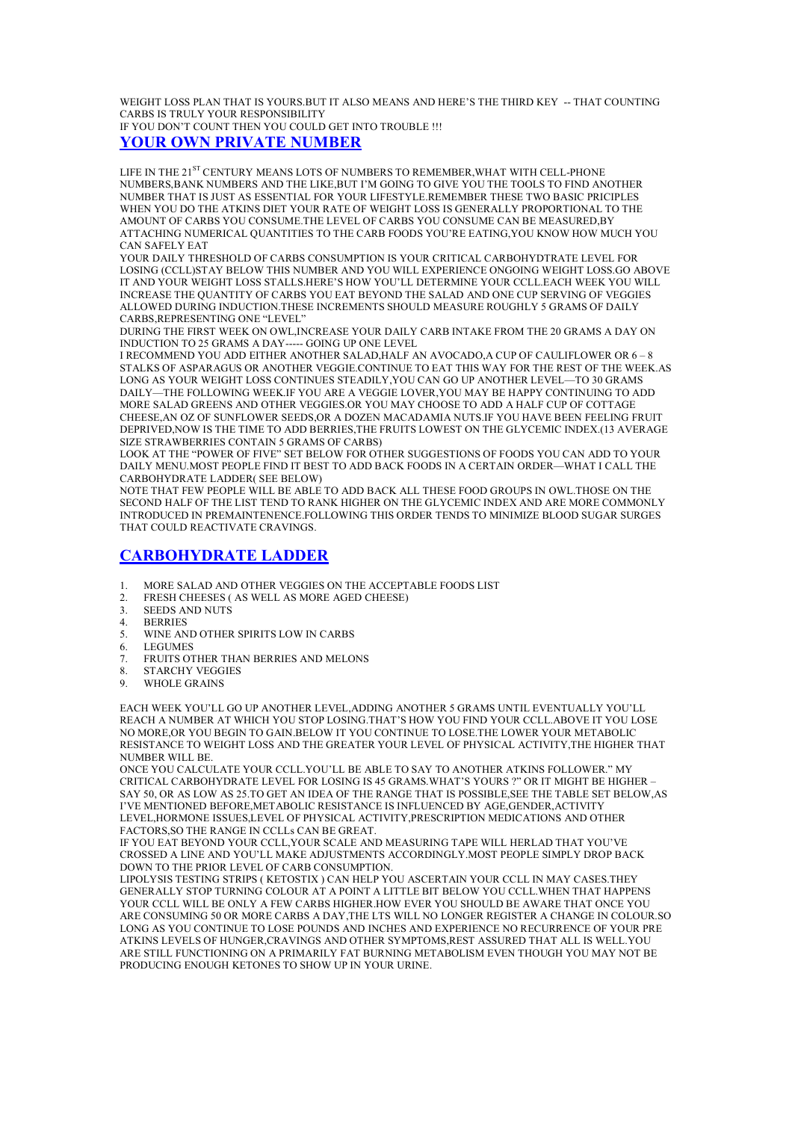WEIGHT LOSS PLAN THAT IS YOURS.BUT IT ALSO MEANS AND HERE'S THE THIRD KEY -- THAT COUNTING CARBS IS TRULY YOUR RESPONSIBILITY

IF YOU DON'T COUNT THEN YOU COULD GET INTO TROUBLE !!! **YOUR OWN PRIVATE NUMBER**

LIFE IN THE 21<sup>ST</sup> CENTURY MEANS LOTS OF NUMBERS TO REMEMBER, WHAT WITH CELL-PHONE NUMBERS,BANK NUMBERS AND THE LIKE,BUT IíM GOING TO GIVE YOU THE TOOLS TO FIND ANOTHER NUMBER THAT IS JUST AS ESSENTIAL FOR YOUR LIFESTYLE.REMEMBER THESE TWO BASIC PRICIPLES WHEN YOU DO THE ATKINS DIET YOUR RATE OF WEIGHT LOSS IS GENERALLY PROPORTIONAL TO THE AMOUNT OF CARBS YOU CONSUME.THE LEVEL OF CARBS YOU CONSUME CAN BE MEASURED,BY ATTACHING NUMERICAL QUANTITIES TO THE CARB FOODS YOUíRE EATING,YOU KNOW HOW MUCH YOU CAN SAFELY EAT

YOUR DAILY THRESHOLD OF CARBS CONSUMPTION IS YOUR CRITICAL CARBOHYDTRATE LEVEL FOR LOSING (CCLL)STAY BELOW THIS NUMBER AND YOU WILL EXPERIENCE ONGOING WEIGHT LOSS.GO ABOVE IT AND YOUR WEIGHT LOSS STALLS.HEREíS HOW YOUíLL DETERMINE YOUR CCLL.EACH WEEK YOU WILL INCREASE THE QUANTITY OF CARBS YOU EAT BEYOND THE SALAD AND ONE CUP SERVING OF VEGGIES ALLOWED DURING INDUCTION.THESE INCREMENTS SHOULD MEASURE ROUGHLY 5 GRAMS OF DAILY CARBS REPRESENTING ONE "LEVEL"

DURING THE FIRST WEEK ON OWL,INCREASE YOUR DAILY CARB INTAKE FROM THE 20 GRAMS A DAY ON INDUCTION TO 25 GRAMS A DAY----- GOING UP ONE LEVEL

I RECOMMEND YOU ADD EITHER ANOTHER SALAD, HALF AN AVOCADO, A CUP OF CAULIFLOWER OR 6 - 8 STALKS OF ASPARAGUS OR ANOTHER VEGGIE.CONTINUE TO EAT THIS WAY FOR THE REST OF THE WEEK.AS LONG AS YOUR WEIGHT LOSS CONTINUES STEADILY, YOU CAN GO UP ANOTHER LEVEL—TO 30 GRAMS DAILY—THE FOLLOWING WEEK.IF YOU ARE A VEGGIE LOVER,YOU MAY BE HAPPY CONTINUING TO ADD MORE SALAD GREENS AND OTHER VEGGIES.OR YOU MAY CHOOSE TO ADD A HALF CUP OF COTTAGE CHEESE,AN OZ OF SUNFLOWER SEEDS,OR A DOZEN MACADAMIA NUTS.IF YOU HAVE BEEN FEELING FRUIT DEPRIVED,NOW IS THE TIME TO ADD BERRIES,THE FRUITS LOWEST ON THE GLYCEMIC INDEX.(13 AVERAGE SIZE STRAWBERRIES CONTAIN 5 GRAMS OF CARBS)

LOOK AT THE "POWER OF FIVE" SET BELOW FOR OTHER SUGGESTIONS OF FOODS YOU CAN ADD TO YOUR DAILY MENU.MOST PEOPLE FIND IT BEST TO ADD BACK FOODS IN A CERTAIN ORDER—WHAT I CALL THE CARBOHYDRATE LADDER( SEE BELOW)

NOTE THAT FEW PEOPLE WILL BE ABLE TO ADD BACK ALL THESE FOOD GROUPS IN OWL.THOSE ON THE SECOND HALF OF THE LIST TEND TO RANK HIGHER ON THE GLYCEMIC INDEX AND ARE MORE COMMONLY INTRODUCED IN PREMAINTENENCE.FOLLOWING THIS ORDER TENDS TO MINIMIZE BLOOD SUGAR SURGES THAT COULD REACTIVATE CRAVINGS.

# **CARBOHYDRATE LADDER**

- 1. MORE SALAD AND OTHER VEGGIES ON THE ACCEPTABLE FOODS LIST 2. FRESH CHEESES (AS WELL AS MORE AGED CHEESE)
- 2. FRESH CHEESES ( AS WELL AS MORE AGED CHEESE)
- 3. SEEDS AND NUTS
- 4. BERRIES<br>5. WINE AN
- WINE AND OTHER SPIRITS LOW IN CARBS
- 6. LEGUMES
- 7. FRUITS OTHER THAN BERRIES AND MELONS
- 8. STARCHY VEGGIES
- 9. WHOLE GRAINS

EACH WEEK YOU'LL GO UP ANOTHER LEVEL, ADDING ANOTHER 5 GRAMS UNTIL EVENTUALLY YOU'LL REACH A NUMBER AT WHICH YOU STOP LOSING.THAT'S HOW YOU FIND YOUR CCLL.ABOVE IT YOU LOSE NO MORE,OR YOU BEGIN TO GAIN.BELOW IT YOU CONTINUE TO LOSE.THE LOWER YOUR METABOLIC RESISTANCE TO WEIGHT LOSS AND THE GREATER YOUR LEVEL OF PHYSICAL ACTIVITY,THE HIGHER THAT NUMBER WILL BE.

ONCE YOU CALCULATE YOUR CCLL.YOU'LL BE ABLE TO SAY TO ANOTHER ATKINS FOLLOWER." MY CRITICAL CARBOHYDRATE LEVEL FOR LOSING IS 45 GRAMS. WHAT'S YOURS ?" OR IT MIGHT BE HIGHER -SAY 50, OR AS LOW AS 25.TO GET AN IDEA OF THE RANGE THAT IS POSSIBLE,SEE THE TABLE SET BELOW,AS I'VE MENTIONED BEFORE, METABOLIC RESISTANCE IS INFLUENCED BY AGE, GENDER, ACTIVITY LEVEL,HORMONE ISSUES,LEVEL OF PHYSICAL ACTIVITY,PRESCRIPTION MEDICATIONS AND OTHER FACTORS,SO THE RANGE IN CCLLs CAN BE GREAT.

IF YOU EAT BEYOND YOUR CCLL, YOUR SCALE AND MEASURING TAPE WILL HERLAD THAT YOU'VE CROSSED A LINE AND YOUíLL MAKE ADJUSTMENTS ACCORDINGLY.MOST PEOPLE SIMPLY DROP BACK DOWN TO THE PRIOR LEVEL OF CARB CONSUMPTION.

LIPOLYSIS TESTING STRIPS ( KETOSTIX ) CAN HELP YOU ASCERTAIN YOUR CCLL IN MAY CASES.THEY GENERALLY STOP TURNING COLOUR AT A POINT A LITTLE BIT BELOW YOU CCLL.WHEN THAT HAPPENS YOUR CCLL WILL BE ONLY A FEW CARBS HIGHER.HOW EVER YOU SHOULD BE AWARE THAT ONCE YOU ARE CONSUMING 50 OR MORE CARBS A DAY,THE LTS WILL NO LONGER REGISTER A CHANGE IN COLOUR.SO LONG AS YOU CONTINUE TO LOSE POUNDS AND INCHES AND EXPERIENCE NO RECURRENCE OF YOUR PRE ATKINS LEVELS OF HUNGER,CRAVINGS AND OTHER SYMPTOMS,REST ASSURED THAT ALL IS WELL.YOU ARE STILL FUNCTIONING ON A PRIMARILY FAT BURNING METABOLISM EVEN THOUGH YOU MAY NOT BE PRODUCING ENOUGH KETONES TO SHOW UP IN YOUR URINE.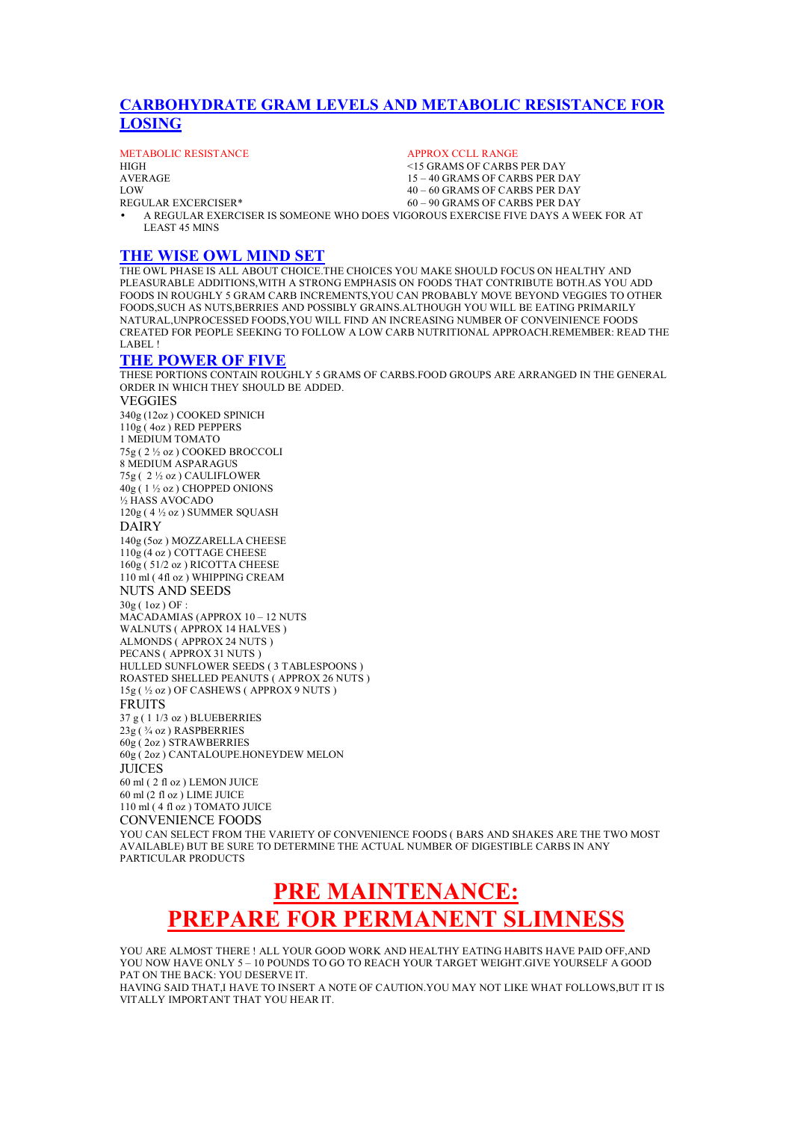# **CARBOHYDRATE GRAM LEVELS AND METABOLIC RESISTANCE FOR LOSING**

METABOLIC RESISTANCE<br>
HIGH <15 GRAMS OF CARRS

HIGH <15 GRAMS OF CARBS PER DAY<br>AVERAGE 15 - 40 GRAMS OF CARBS PER D 15 – 40 GRAMS OF CARBS PER DAY LOW  $40 - 60$  GRAMS OF CARBS PER DAY<br>REGULAR EXCERCISER\* 60 – 90 GRAMS OF CARBS PER DAY  $60 - 90$  GRAMS OF CARBS PER DAY

• A REGULAR EXERCISER IS SOMEONE WHO DOES VIGOROUS EXERCISE FIVE DAYS A WEEK FOR AT LEAST 45 MINS

# **THE WISE OWL MIND SET**

THE OWL PHASE IS ALL ABOUT CHOICE.THE CHOICES YOU MAKE SHOULD FOCUS ON HEALTHY AND PLEASURABLE ADDITIONS,WITH A STRONG EMPHASIS ON FOODS THAT CONTRIBUTE BOTH.AS YOU ADD FOODS IN ROUGHLY 5 GRAM CARB INCREMENTS,YOU CAN PROBABLY MOVE BEYOND VEGGIES TO OTHER FOODS,SUCH AS NUTS,BERRIES AND POSSIBLY GRAINS.ALTHOUGH YOU WILL BE EATING PRIMARILY NATURAL,UNPROCESSED FOODS,YOU WILL FIND AN INCREASING NUMBER OF CONVEINIENCE FOODS CREATED FOR PEOPLE SEEKING TO FOLLOW A LOW CARB NUTRITIONAL APPROACH.REMEMBER: READ THE LABEL !

### **THE POWER OF FIVE**

THESE PORTIONS CONTAIN ROUGHLY 5 GRAMS OF CARBS.FOOD GROUPS ARE ARRANGED IN THE GENERAL ORDER IN WHICH THEY SHOULD BE ADDED.

**VEGGIES** 340g (12oz ) COOKED SPINICH 110g ( 4oz ) RED PEPPERS 1 MEDIUM TOMATO 75g ( 2 ½ oz ) COOKED BROCCOLI 8 MEDIUM ASPARAGUS 75g ( 2 ½ oz ) CAULIFLOWER 40g ( 1 ½ oz ) CHOPPED ONIONS ½ HASS AVOCADO 120g ( 4 ½ oz ) SUMMER SQUASH DAIRY 140g (5oz ) MOZZARELLA CHEESE 110g (4 oz ) COTTAGE CHEESE 160g ( 51/2 oz ) RICOTTA CHEESE 110 ml ( 4fl oz ) WHIPPING CREAM NUTS AND SEEDS 30g ( 1oz ) OF :  $MACADAMIAS$  (APPROX  $10 - 12$  NUTS WALNUTS ( APPROX 14 HALVES ) ALMONDS ( APPROX 24 NUTS ) PECANS ( APPROX 31 NUTS ) HULLED SUNFLOWER SEEDS ( 3 TABLESPOONS ) ROASTED SHELLED PEANUTS ( APPROX 26 NUTS ) 15g ( ½ oz ) OF CASHEWS ( APPROX 9 NUTS ) FRUITS 37 g ( 1 1/3 oz ) BLUEBERRIES  $23g$  ( $\frac{3}{4}$  oz ) RASPBERRIES 60g ( 2oz ) STRAWBERRIES 60g ( 2oz ) CANTALOUPE.HONEYDEW MELON **JUICES** 60 ml ( 2 fl oz ) LEMON JUICE 60 ml (2 fl oz ) LIME JUICE 110 ml ( 4 fl oz ) TOMATO JUICE CONVENIENCE FOODS YOU CAN SELECT FROM THE VARIETY OF CONVENIENCE FOODS ( BARS AND SHAKES ARE THE TWO MOST AVAILABLE) BUT BE SURE TO DETERMINE THE ACTUAL NUMBER OF DIGESTIBLE CARBS IN ANY PARTICULAR PRODUCTS

# **PRE MAINTENANCE: PREPARE FOR PERMANENT SLIMNESS**

YOU ARE ALMOST THERE ! ALL YOUR GOOD WORK AND HEALTHY EATING HABITS HAVE PAID OFF AND YOU NOW HAVE ONLY 5 – 10 POUNDS TO GO TO REACH YOUR TARGET WEIGHT.GIVE YOURSELF A GOOD PAT ON THE BACK: YOU DESERVE IT.

HAVING SAID THAT,I HAVE TO INSERT A NOTE OF CAUTION.YOU MAY NOT LIKE WHAT FOLLOWS,BUT IT IS VITALLY IMPORTANT THAT YOU HEAR IT.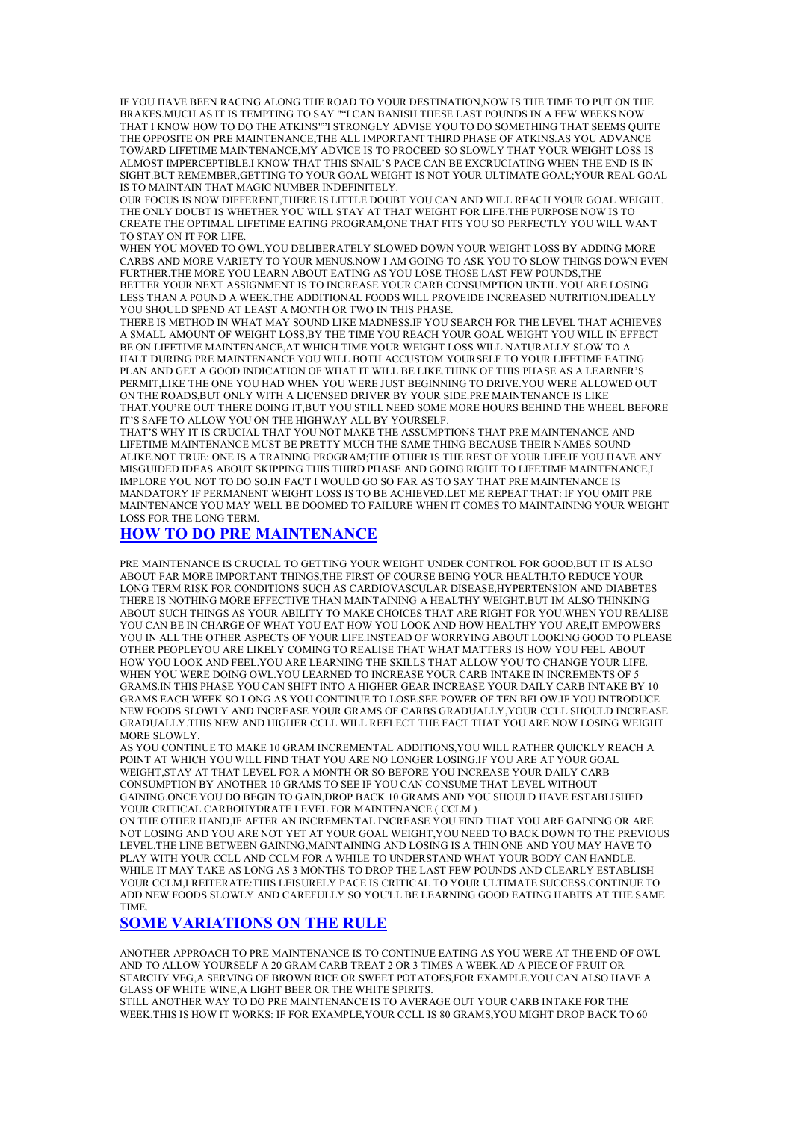IF YOU HAVE BEEN RACING ALONG THE ROAD TO YOUR DESTINATION,NOW IS THE TIME TO PUT ON THE BRAKES.MUCH AS IT IS TEMPTING TO SAY ""I CAN BANISH THESE LAST POUNDS IN A FEW WEEKS NOW THAT I KNOW HOW TO DO THE ATKINS""I STRONGLY ADVISE YOU TO DO SOMETHING THAT SEEMS OUITE THE OPPOSITE ON PRE MAINTENANCE,THE ALL IMPORTANT THIRD PHASE OF ATKINS.AS YOU ADVANCE TOWARD LIFETIME MAINTENANCE,MY ADVICE IS TO PROCEED SO SLOWLY THAT YOUR WEIGHT LOSS IS ALMOST IMPERCEPTIBLE.I KNOW THAT THIS SNAIL'S PACE CAN BE EXCRUCIATING WHEN THE END IS IN SIGHT.BUT REMEMBER,GETTING TO YOUR GOAL WEIGHT IS NOT YOUR ULTIMATE GOAL;YOUR REAL GOAL IS TO MAINTAIN THAT MAGIC NUMBER INDEFINITELY.

OUR FOCUS IS NOW DIFFERENT,THERE IS LITTLE DOUBT YOU CAN AND WILL REACH YOUR GOAL WEIGHT. THE ONLY DOUBT IS WHETHER YOU WILL STAY AT THAT WEIGHT FOR LIFE.THE PURPOSE NOW IS TO CREATE THE OPTIMAL LIFETIME EATING PROGRAM,ONE THAT FITS YOU SO PERFECTLY YOU WILL WANT TO STAY ON IT FOR LIFE.

WHEN YOU MOVED TO OWL,YOU DELIBERATELY SLOWED DOWN YOUR WEIGHT LOSS BY ADDING MORE CARBS AND MORE VARIETY TO YOUR MENUS.NOW I AM GOING TO ASK YOU TO SLOW THINGS DOWN EVEN FURTHER.THE MORE YOU LEARN ABOUT EATING AS YOU LOSE THOSE LAST FEW POUNDS,THE BETTER.YOUR NEXT ASSIGNMENT IS TO INCREASE YOUR CARB CONSUMPTION UNTIL YOU ARE LOSING LESS THAN A POUND A WEEK.THE ADDITIONAL FOODS WILL PROVEIDE INCREASED NUTRITION.IDEALLY YOU SHOULD SPEND AT LEAST A MONTH OR TWO IN THIS PHASE.

THERE IS METHOD IN WHAT MAY SOUND LIKE MADNESS.IF YOU SEARCH FOR THE LEVEL THAT ACHIEVES A SMALL AMOUNT OF WEIGHT LOSS,BY THE TIME YOU REACH YOUR GOAL WEIGHT YOU WILL IN EFFECT BE ON LIFETIME MAINTENANCE,AT WHICH TIME YOUR WEIGHT LOSS WILL NATURALLY SLOW TO A HALT.DURING PRE MAINTENANCE YOU WILL BOTH ACCUSTOM YOURSELF TO YOUR LIFETIME EATING PLAN AND GET A GOOD INDICATION OF WHAT IT WILL BE LIKE.THINK OF THIS PHASE AS A LEARNERíS PERMIT,LIKE THE ONE YOU HAD WHEN YOU WERE JUST BEGINNING TO DRIVE.YOU WERE ALLOWED OUT ON THE ROADS,BUT ONLY WITH A LICENSED DRIVER BY YOUR SIDE.PRE MAINTENANCE IS LIKE THAT.YOU'RE OUT THERE DOING IT,BUT YOU STILL NEED SOME MORE HOURS BEHIND THE WHEEL BEFORE IT'S SAFE TO ALLOW YOU ON THE HIGHWAY ALL BY YOURSELF.

THAT'S WHY IT IS CRUCIAL THAT YOU NOT MAKE THE ASSUMPTIONS THAT PRE MAINTENANCE AND LIFETIME MAINTENANCE MUST BE PRETTY MUCH THE SAME THING BECAUSE THEIR NAMES SOUND ALIKE.NOT TRUE: ONE IS A TRAINING PROGRAM;THE OTHER IS THE REST OF YOUR LIFE.IF YOU HAVE ANY MISGUIDED IDEAS ABOUT SKIPPING THIS THIRD PHASE AND GOING RIGHT TO LIFETIME MAINTENANCE,I IMPLORE YOU NOT TO DO SO.IN FACT I WOULD GO SO FAR AS TO SAY THAT PRE MAINTENANCE IS MANDATORY IF PERMANENT WEIGHT LOSS IS TO BE ACHIEVED.LET ME REPEAT THAT: IF YOU OMIT PRE MAINTENANCE YOU MAY WELL BE DOOMED TO FAILURE WHEN IT COMES TO MAINTAINING YOUR WEIGHT LOSS FOR THE LONG TERM.

#### **HOW TO DO PRE MAINTENANCE**

PRE MAINTENANCE IS CRUCIAL TO GETTING YOUR WEIGHT UNDER CONTROL FOR GOOD,BUT IT IS ALSO ABOUT FAR MORE IMPORTANT THINGS,THE FIRST OF COURSE BEING YOUR HEALTH.TO REDUCE YOUR LONG TERM RISK FOR CONDITIONS SUCH AS CARDIOVASCULAR DISEASE,HYPERTENSION AND DIABETES THERE IS NOTHING MORE EFFECTIVE THAN MAINTAINING A HEALTHY WEIGHT.BUT IM ALSO THINKING ABOUT SUCH THINGS AS YOUR ABILITY TO MAKE CHOICES THAT ARE RIGHT FOR YOU.WHEN YOU REALISE YOU CAN BE IN CHARGE OF WHAT YOU EAT HOW YOU LOOK AND HOW HEALTHY YOU ARE IT EMPOWERS YOU IN ALL THE OTHER ASPECTS OF YOUR LIFE.INSTEAD OF WORRYING ABOUT LOOKING GOOD TO PLEASE OTHER PEOPLEYOU ARE LIKELY COMING TO REALISE THAT WHAT MATTERS IS HOW YOU FEEL ABOUT HOW YOU LOOK AND FEEL.YOU ARE LEARNING THE SKILLS THAT ALLOW YOU TO CHANGE YOUR LIFE. WHEN YOU WERE DOING OWL.YOU LEARNED TO INCREASE YOUR CARB INTAKE IN INCREMENTS OF 5 GRAMS.IN THIS PHASE YOU CAN SHIFT INTO A HIGHER GEAR INCREASE YOUR DAILY CARB INTAKE BY 10 GRAMS EACH WEEK SO LONG AS YOU CONTINUE TO LOSE.SEE POWER OF TEN BELOW.IF YOU INTRODUCE NEW FOODS SLOWLY AND INCREASE YOUR GRAMS OF CARBS GRADUALLY,YOUR CCLL SHOULD INCREASE GRADUALLY.THIS NEW AND HIGHER CCLL WILL REFLECT THE FACT THAT YOU ARE NOW LOSING WEIGHT MORE SLOWLY.

AS YOU CONTINUE TO MAKE 10 GRAM INCREMENTAL ADDITIONS,YOU WILL RATHER QUICKLY REACH A POINT AT WHICH YOU WILL FIND THAT YOU ARE NO LONGER LOSING.IF YOU ARE AT YOUR GOAL WEIGHT,STAY AT THAT LEVEL FOR A MONTH OR SO BEFORE YOU INCREASE YOUR DAILY CARB CONSUMPTION BY ANOTHER 10 GRAMS TO SEE IF YOU CAN CONSUME THAT LEVEL WITHOUT GAINING.ONCE YOU DO BEGIN TO GAIN,DROP BACK 10 GRAMS AND YOU SHOULD HAVE ESTABLISHED YOUR CRITICAL CARBOHYDRATE LEVEL FOR MAINTENANCE ( CCLM )

ON THE OTHER HAND,IF AFTER AN INCREMENTAL INCREASE YOU FIND THAT YOU ARE GAINING OR ARE NOT LOSING AND YOU ARE NOT YET AT YOUR GOAL WEIGHT,YOU NEED TO BACK DOWN TO THE PREVIOUS LEVEL.THE LINE BETWEEN GAINING,MAINTAINING AND LOSING IS A THIN ONE AND YOU MAY HAVE TO PLAY WITH YOUR CCLL AND CCLM FOR A WHILE TO UNDERSTAND WHAT YOUR BODY CAN HANDLE. WHILE IT MAY TAKE AS LONG AS 3 MONTHS TO DROP THE LAST FEW POUNDS AND CLEARLY ESTABLISH YOUR CCLM,I REITERATE:THIS LEISURELY PACE IS CRITICAL TO YOUR ULTIMATE SUCCESS.CONTINUE TO ADD NEW FOODS SLOWLY AND CAREFULLY SO YOU'LL BE LEARNING GOOD EATING HABITS AT THE SAME TIME.

## **SOME VARIATIONS ON THE RULE**

ANOTHER APPROACH TO PRE MAINTENANCE IS TO CONTINUE EATING AS YOU WERE AT THE END OF OWL AND TO ALLOW YOURSELF A 20 GRAM CARB TREAT 2 OR 3 TIMES A WEEK.AD A PIECE OF FRUIT OR STARCHY VEG,A SERVING OF BROWN RICE OR SWEET POTATOES,FOR EXAMPLE.YOU CAN ALSO HAVE A GLASS OF WHITE WINE,A LIGHT BEER OR THE WHITE SPIRITS.

STILL ANOTHER WAY TO DO PRE MAINTENANCE IS TO AVERAGE OUT YOUR CARB INTAKE FOR THE WEEK.THIS IS HOW IT WORKS: IF FOR EXAMPLE,YOUR CCLL IS 80 GRAMS,YOU MIGHT DROP BACK TO 60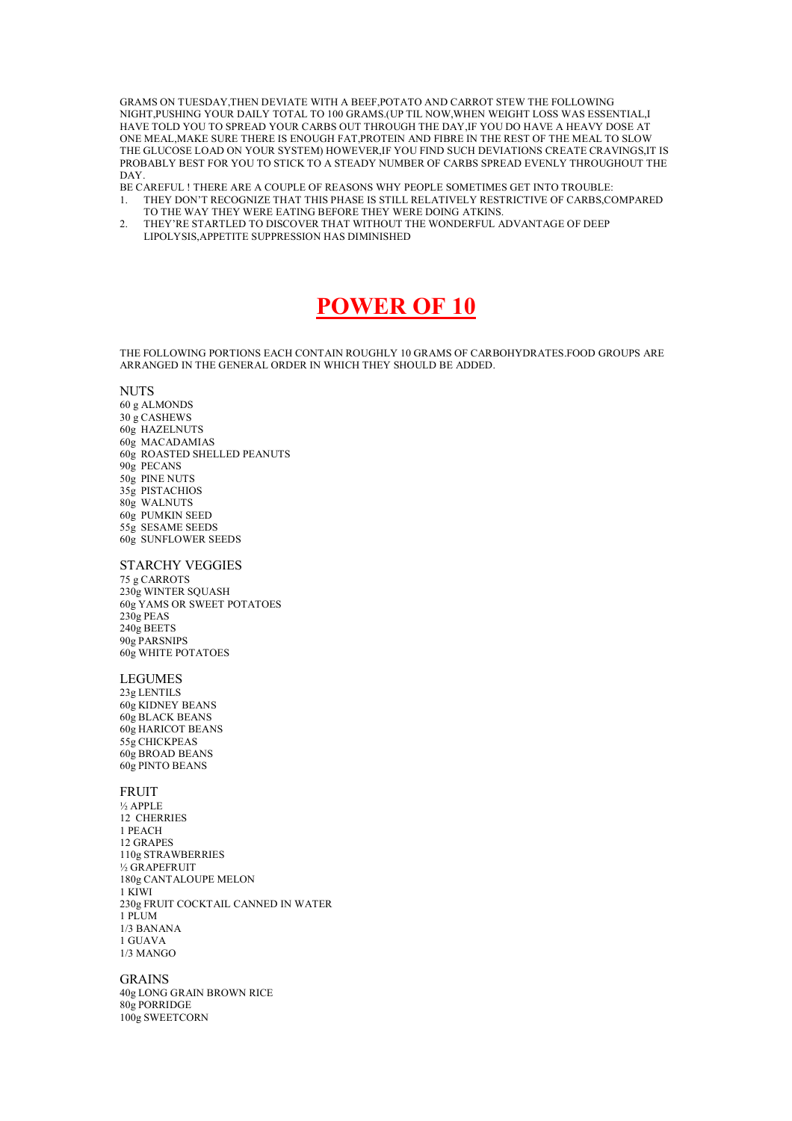GRAMS ON TUESDAY,THEN DEVIATE WITH A BEEF,POTATO AND CARROT STEW THE FOLLOWING NIGHT,PUSHING YOUR DAILY TOTAL TO 100 GRAMS.(UP TIL NOW,WHEN WEIGHT LOSS WAS ESSENTIAL,I HAVE TOLD YOU TO SPREAD YOUR CARBS OUT THROUGH THE DAY,IF YOU DO HAVE A HEAVY DOSE AT ONE MEAL,MAKE SURE THERE IS ENOUGH FAT,PROTEIN AND FIBRE IN THE REST OF THE MEAL TO SLOW THE GLUCOSE LOAD ON YOUR SYSTEM) HOWEVER,IF YOU FIND SUCH DEVIATIONS CREATE CRAVINGS,IT IS PROBABLY BEST FOR YOU TO STICK TO A STEADY NUMBER OF CARBS SPREAD EVENLY THROUGHOUT THE **DAY** 

- BE CAREFUL ! THERE ARE A COUPLE OF REASONS WHY PEOPLE SOMETIMES GET INTO TROUBLE: 1. THEY DONíT RECOGNIZE THAT THIS PHASE IS STILL RELATIVELY RESTRICTIVE OF CARBS,COMPARED
- TO THE WAY THEY WERE EATING BEFORE THEY WERE DOING ATKINS.
- 2. THEY'RE STARTLED TO DISCOVER THAT WITHOUT THE WONDERFUL ADVANTAGE OF DEEP LIPOLYSIS,APPETITE SUPPRESSION HAS DIMINISHED

# **POWER OF 10**

THE FOLLOWING PORTIONS EACH CONTAIN ROUGHLY 10 GRAMS OF CARBOHYDRATES.FOOD GROUPS ARE ARRANGED IN THE GENERAL ORDER IN WHICH THEY SHOULD BE ADDED.

#### **NUTS**

60 g ALMONDS 30 g CASHEWS 60g HAZELNUTS 60g MACADAMIAS 60g ROASTED SHELLED PEANUTS 90g PECANS 50g PINE NUTS 35g PISTACHIOS 80g WALNUTS 60g PUMKIN SEED 55g SESAME SEEDS 60g SUNFLOWER SEEDS

### STARCHY VEGGIES

75 g CARROTS 230g WINTER SQUASH 60g YAMS OR SWEET POTATOES 230g PEAS 240g BEETS 90g PARSNIPS 60g WHITE POTATOES

#### LEGUMES

23g LENTILS 60g KIDNEY BEANS 60g BLACK BEANS 60g HARICOT BEANS 55g CHICKPEAS 60g BROAD BEANS 60g PINTO BEANS

#### FRUIT

½ APPLE 12 CHERRIES 1 PEACH 12 GRAPES 110g STRAWBERRIES ½ GRAPEFRUIT 180g CANTALOUPE MELON 1 KIWI 230g FRUIT COCKTAIL CANNED IN WATER 1 PLUM 1/3 BANANA 1 GUAVA 1/3 MANGO

#### GRAINS

40g LONG GRAIN BROWN RICE 80g PORRIDGE 100g SWEETCORN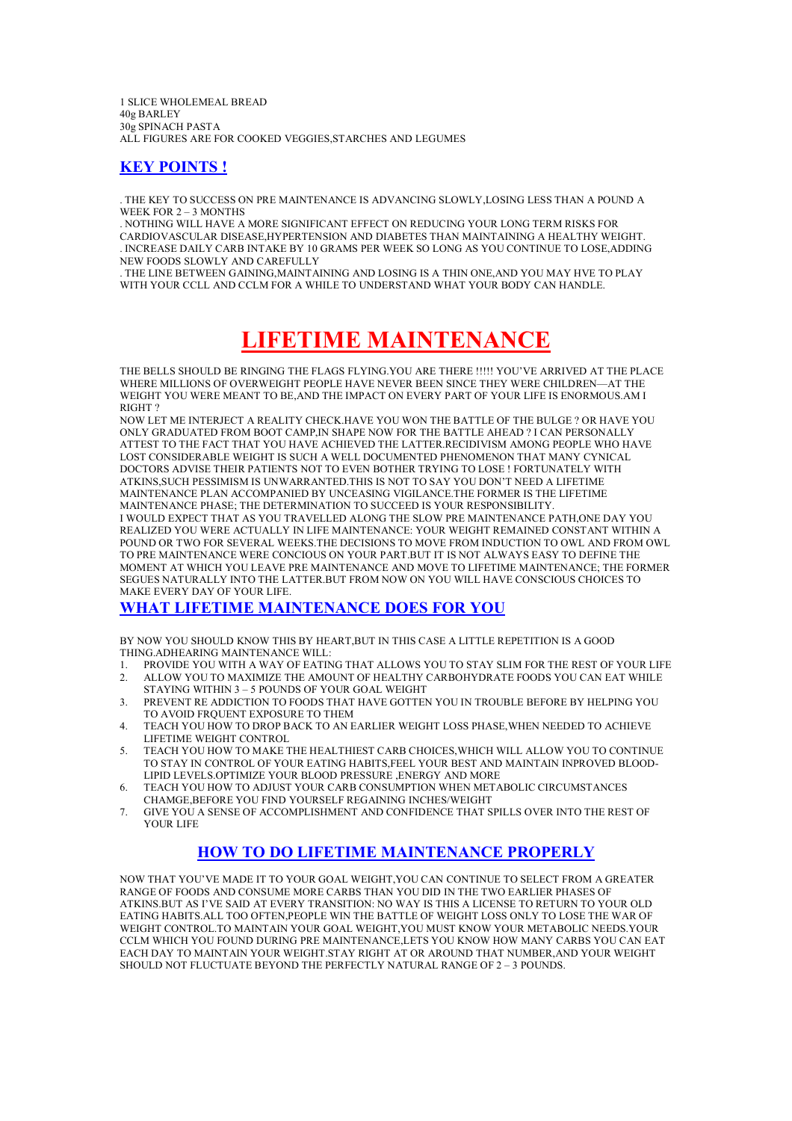1 SLICE WHOLEMEAL BREAD 40g BARLEY 30g SPINACH PASTA ALL FIGURES ARE FOR COOKED VEGGIES,STARCHES AND LEGUMES

# **KEY POINTS !**

. THE KEY TO SUCCESS ON PRE MAINTENANCE IS ADVANCING SLOWLY,LOSING LESS THAN A POUND A WEEK FOR  $2 - 3$  MONTHS

. NOTHING WILL HAVE A MORE SIGNIFICANT EFFECT ON REDUCING YOUR LONG TERM RISKS FOR CARDIOVASCULAR DISEASE,HYPERTENSION AND DIABETES THAN MAINTAINING A HEALTHY WEIGHT. . INCREASE DAILY CARB INTAKE BY 10 GRAMS PER WEEK SO LONG AS YOU CONTINUE TO LOSE,ADDING NEW FOODS SLOWLY AND CAREFULLY

. THE LINE BETWEEN GAINING,MAINTAINING AND LOSING IS A THIN ONE,AND YOU MAY HVE TO PLAY WITH YOUR CCLL AND CCLM FOR A WHILE TO UNDERSTAND WHAT YOUR BODY CAN HANDLE.

# **LIFETIME MAINTENANCE**

THE BELLS SHOULD BE RINGING THE FLAGS FLYING.YOU ARE THERE !!!!! YOU'VE ARRIVED AT THE PLACE WHERE MILLIONS OF OVERWEIGHT PEOPLE HAVE NEVER BEEN SINCE THEY WERE CHILDREN—AT THE WEIGHT YOU WERE MEANT TO BE,AND THE IMPACT ON EVERY PART OF YOUR LIFE IS ENORMOUS.AM I RIGHT ?

NOW LET ME INTERJECT A REALITY CHECK.HAVE YOU WON THE BATTLE OF THE BULGE ? OR HAVE YOU ONLY GRADUATED FROM BOOT CAMP,IN SHAPE NOW FOR THE BATTLE AHEAD ? I CAN PERSONALLY ATTEST TO THE FACT THAT YOU HAVE ACHIEVED THE LATTER.RECIDIVISM AMONG PEOPLE WHO HAVE LOST CONSIDERABLE WEIGHT IS SUCH A WELL DOCUMENTED PHENOMENON THAT MANY CYNICAL DOCTORS ADVISE THEIR PATIENTS NOT TO EVEN BOTHER TRYING TO LOSE ! FORTUNATELY WITH ATKINS,SUCH PESSIMISM IS UNWARRANTED.THIS IS NOT TO SAY YOU DONíT NEED A LIFETIME MAINTENANCE PLAN ACCOMPANIED BY UNCEASING VIGILANCE.THE FORMER IS THE LIFETIME MAINTENANCE PHASE; THE DETERMINATION TO SUCCEED IS YOUR RESPONSIBILITY. I WOULD EXPECT THAT AS YOU TRAVELLED ALONG THE SLOW PRE MAINTENANCE PATH,ONE DAY YOU

REALIZED YOU WERE ACTUALLY IN LIFE MAINTENANCE: YOUR WEIGHT REMAINED CONSTANT WITHIN A POUND OR TWO FOR SEVERAL WEEKS.THE DECISIONS TO MOVE FROM INDUCTION TO OWL AND FROM OWL TO PRE MAINTENANCE WERE CONCIOUS ON YOUR PART.BUT IT IS NOT ALWAYS EASY TO DEFINE THE MOMENT AT WHICH YOU LEAVE PRE MAINTENANCE AND MOVE TO LIFETIME MAINTENANCE; THE FORMER SEGUES NATURALLY INTO THE LATTER.BUT FROM NOW ON YOU WILL HAVE CONSCIOUS CHOICES TO MAKE EVERY DAY OF YOUR LIFE.

# **WHAT LIFETIME MAINTENANCE DOES FOR YOU**

BY NOW YOU SHOULD KNOW THIS BY HEART,BUT IN THIS CASE A LITTLE REPETITION IS A GOOD THING.ADHEARING MAINTENANCE WILL:

- 1. PROVIDE YOU WITH A WAY OF EATING THAT ALLOWS YOU TO STAY SLIM FOR THE REST OF YOUR LIFE<br>2. ALLOW YOU TO MAXIMIZE THE AMOUNT OF HEALTHY CARBOHYDRATE FOODS YOU CAN EAT WHILE 2. ALLOW YOU TO MAXIMIZE THE AMOUNT OF HEALTHY CARBOHYDRATE FOODS YOU CAN EAT WHILE
- STAYING WITHIN 3 5 POUNDS OF YOUR GOAL WEIGHT
- 3. PREVENT RE ADDICTION TO FOODS THAT HAVE GOTTEN YOU IN TROUBLE BEFORE BY HELPING YOU TO AVOID FROUENT EXPOSURE TO THEM
- 4. TEACH YOU HOW TO DROP BACK TO AN EARLIER WEIGHT LOSS PHASE,WHEN NEEDED TO ACHIEVE LIFETIME WEIGHT CONTROL
- 5. TEACH YOU HOW TO MAKE THE HEALTHIEST CARB CHOICES,WHICH WILL ALLOW YOU TO CONTINUE TO STAY IN CONTROL OF YOUR EATING HABITS,FEEL YOUR BEST AND MAINTAIN INPROVED BLOOD-LIPID LEVELS.OPTIMIZE YOUR BLOOD PRESSURE ,ENERGY AND MORE
- 6. TEACH YOU HOW TO ADJUST YOUR CARB CONSUMPTION WHEN METABOLIC CIRCUMSTANCES CHAMGE,BEFORE YOU FIND YOURSELF REGAINING INCHES/WEIGHT
- 7. GIVE YOU A SENSE OF ACCOMPLISHMENT AND CONFIDENCE THAT SPILLS OVER INTO THE REST OF YOUR LIFE

# **HOW TO DO LIFETIME MAINTENANCE PROPERLY**

NOW THAT YOU'VE MADE IT TO YOUR GOAL WEIGHT, YOU CAN CONTINUE TO SELECT FROM A GREATER RANGE OF FOODS AND CONSUME MORE CARBS THAN YOU DID IN THE TWO EARLIER PHASES OF ATKINS.BUT AS IíVE SAID AT EVERY TRANSITION: NO WAY IS THIS A LICENSE TO RETURN TO YOUR OLD EATING HABITS.ALL TOO OFTEN,PEOPLE WIN THE BATTLE OF WEIGHT LOSS ONLY TO LOSE THE WAR OF WEIGHT CONTROL.TO MAINTAIN YOUR GOAL WEIGHT,YOU MUST KNOW YOUR METABOLIC NEEDS.YOUR CCLM WHICH YOU FOUND DURING PRE MAINTENANCE,LETS YOU KNOW HOW MANY CARBS YOU CAN EAT EACH DAY TO MAINTAIN YOUR WEIGHT.STAY RIGHT AT OR AROUND THAT NUMBER,AND YOUR WEIGHT SHOULD NOT FLUCTUATE BEYOND THE PERFECTLY NATURAL RANGE OF 2 - 3 POUNDS.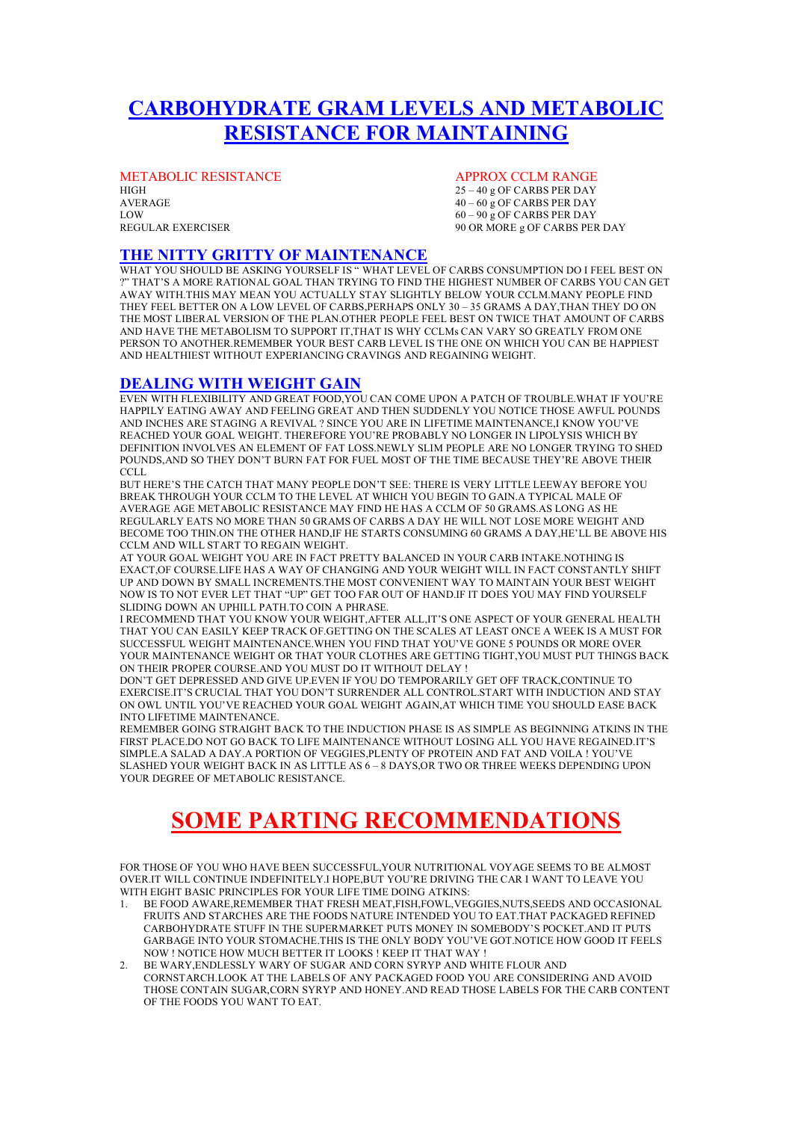# **CARBOHYDRATE GRAM LEVELS AND METABOLIC RESISTANCE FOR MAINTAINING**

### METABOLIC RESISTANCE APPROX CCLM RANGE

HIGH 25 – 40 g OF CARBS PER DAY<br>AVERAGE 40 – 60 g OF CARBS PER DAY  $40 - 60$  g OF CARBS PER DAY LOW 60 – 90 g OF CARBS PER DAY<br>REGILLAR EXERCISER 200 00 MORE & OF CARBS PER DAY 90 OR MORE g OF CARBS PER DAY

# **THE NITTY GRITTY OF MAINTENANCE**

WHAT YOU SHOULD BE ASKING YOURSELF IS "WHAT LEVEL OF CARBS CONSUMPTION DO I FEEL BEST ON ?î THATíS A MORE RATIONAL GOAL THAN TRYING TO FIND THE HIGHEST NUMBER OF CARBS YOU CAN GET AWAY WITH.THIS MAY MEAN YOU ACTUALLY STAY SLIGHTLY BELOW YOUR CCLM.MANY PEOPLE FIND THEY FEEL BETTER ON A LOW LEVEL OF CARBS, PERHAPS ONLY 30 - 35 GRAMS A DAY, THAN THEY DO ON THE MOST LIBERAL VERSION OF THE PLAN OTHER PEOPLE FEEL BEST ON TWICE THAT AMOUNT OF CARBS AND HAVE THE METABOLISM TO SUPPORT IT,THAT IS WHY CCLMs CAN VARY SO GREATLY FROM ONE PERSON TO ANOTHER.REMEMBER YOUR BEST CARB LEVEL IS THE ONE ON WHICH YOU CAN BE HAPPIEST AND HEALTHIEST WITHOUT EXPERIANCING CRAVINGS AND REGAINING WEIGHT.

### **DEALING WITH WEIGHT GAIN**

EVEN WITH FLEXIBILITY AND GREAT FOOD, YOU CAN COME UPON A PATCH OF TROUBLE. WHAT IF YOU'RE HAPPILY EATING AWAY AND FEELING GREAT AND THEN SUDDENLY YOU NOTICE THOSE AWFUL POUNDS AND INCHES ARE STAGING A REVIVAL ? SINCE YOU ARE IN LIFETIME MAINTENANCE. I KNOW YOU'VE REACHED YOUR GOAL WEIGHT. THEREFORE YOUíRE PROBABLY NO LONGER IN LIPOLYSIS WHICH BY DEFINITION INVOLVES AN ELEMENT OF FAT LOSS.NEWLY SLIM PEOPLE ARE NO LONGER TRYING TO SHED POUNDS, AND SO THEY DON'T BURN FAT FOR FUEL MOST OF THE TIME BECAUSE THEY'RE ABOVE THEIR CCLL.

BUT HERE'S THE CATCH THAT MANY PEOPLE DON'T SEE: THERE IS VERY LITTLE LEEWAY BEFORE YOU BREAK THROUGH YOUR CCLM TO THE LEVEL AT WHICH YOU BEGIN TO GAIN.A TYPICAL MALE OF AVERAGE AGE METABOLIC RESISTANCE MAY FIND HE HAS A CCLM OF 50 GRAMS.AS LONG AS HE REGULARLY EATS NO MORE THAN 50 GRAMS OF CARBS A DAY HE WILL NOT LOSE MORE WEIGHT AND BECOME TOO THIN.ON THE OTHER HAND, IF HE STARTS CONSUMING 60 GRAMS A DAY, HE'LL BE ABOVE HIS CCLM AND WILL START TO REGAIN WEIGHT.

AT YOUR GOAL WEIGHT YOU ARE IN FACT PRETTY BALANCED IN YOUR CARB INTAKE.NOTHING IS EXACT,OF COURSE.LIFE HAS A WAY OF CHANGING AND YOUR WEIGHT WILL IN FACT CONSTANTLY SHIFT UP AND DOWN BY SMALL INCREMENTS.THE MOST CONVENIENT WAY TO MAINTAIN YOUR BEST WEIGHT NOW IS TO NOT EVER LET THAT "UP" GET TOO FAR OUT OF HAND.IF IT DOES YOU MAY FIND YOURSELF SLIDING DOWN AN UPHILL PATH.TO COIN A PHRASE.

I RECOMMEND THAT YOU KNOW YOUR WEIGHT, AFTER ALL, IT'S ONE ASPECT OF YOUR GENERAL HEALTH THAT YOU CAN EASILY KEEP TRACK OF.GETTING ON THE SCALES AT LEAST ONCE A WEEK IS A MUST FOR SUCCESSFUL WEIGHT MAINTENANCE. WHEN YOU FIND THAT YOU'VE GONE 5 POUNDS OR MORE OVER YOUR MAINTENANCE WEIGHT OR THAT YOUR CLOTHES ARE GETTING TIGHT,YOU MUST PUT THINGS BACK ON THEIR PROPER COURSE.AND YOU MUST DO IT WITHOUT DELAY !

DONíT GET DEPRESSED AND GIVE UP.EVEN IF YOU DO TEMPORARILY GET OFF TRACK,CONTINUE TO EXERCISE.IT'S CRUCIAL THAT YOU DON'T SURRENDER ALL CONTROL.START WITH INDUCTION AND STAY ON OWL UNTIL YOU'VE REACHED YOUR GOAL WEIGHT AGAIN, AT WHICH TIME YOU SHOULD EASE BACK INTO LIFETIME MAINTENANCE.

REMEMBER GOING STRAIGHT BACK TO THE INDUCTION PHASE IS AS SIMPLE AS BEGINNING ATKINS IN THE FIRST PLACE.DO NOT GO BACK TO LIFE MAINTENANCE WITHOUT LOSING ALL YOU HAVE REGAINED.IT'S SIMPLE.A SALAD A DAY.A PORTION OF VEGGIES, PLENTY OF PROTEIN AND FAT AND VOILA ! YOU'VE SLASHED YOUR WEIGHT BACK IN AS LITTLE AS  $6 - 8$  DAYS, OR TWO OR THREE WEEKS DEPENDING UPON YOUR DEGREE OF METABOLIC RESISTANCE.

# **SOME PARTING RECOMMENDATIONS**

FOR THOSE OF YOU WHO HAVE BEEN SUCCESSFUL,YOUR NUTRITIONAL VOYAGE SEEMS TO BE ALMOST OVER.IT WILL CONTINUE INDEFINITELY.I HOPE,BUT YOUíRE DRIVING THE CAR I WANT TO LEAVE YOU WITH EIGHT BASIC PRINCIPLES FOR YOUR LIFE TIME DOING ATKINS:

- 1. BE FOOD AWARE,REMEMBER THAT FRESH MEAT,FISH,FOWL,VEGGIES,NUTS,SEEDS AND OCCASIONAL FRUITS AND STARCHES ARE THE FOODS NATURE INTENDED YOU TO EAT.THAT PACKAGED REFINED CARBOHYDRATE STUFF IN THE SUPERMARKET PUTS MONEY IN SOMEBODY'S POCKET. AND IT PUTS GARBAGE INTO YOUR STOMACHE.THIS IS THE ONLY BODY YOU'VE GOT.NOTICE HOW GOOD IT FEELS NOW ! NOTICE HOW MUCH BETTER IT LOOKS ! KEEP IT THAT WAY !
- 2. BE WARY,ENDLESSLY WARY OF SUGAR AND CORN SYRYP AND WHITE FLOUR AND CORNSTARCH.LOOK AT THE LABELS OF ANY PACKAGED FOOD YOU ARE CONSIDERING AND AVOID THOSE CONTAIN SUGAR,CORN SYRYP AND HONEY.AND READ THOSE LABELS FOR THE CARB CONTENT OF THE FOODS YOU WANT TO EAT.